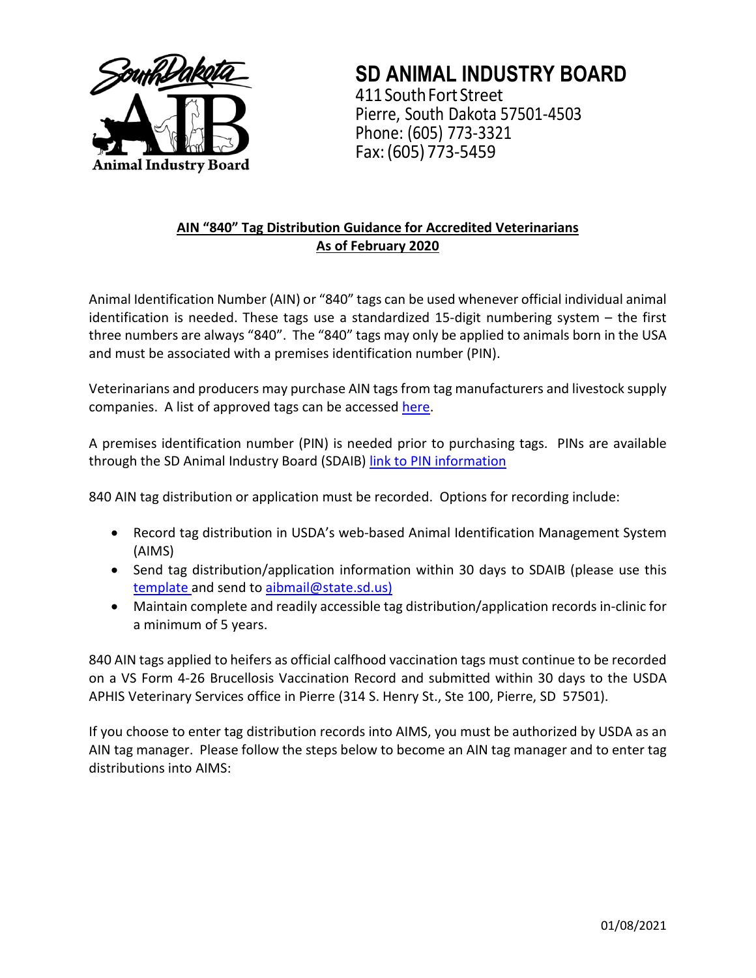

**SD ANIMAL INDUSTRY BOARD** 411 South Fort Street Pierre, South Dakota 57501-4503 Phone: (605) 773-3321 Fax:(605) 773-5459

# **AIN "840" Tag Distribution Guidance for Accredited Veterinarians As of February 2020**

Animal Identification Number (AIN) or "840" tags can be used whenever official individual animal identification is needed. These tags use a standardized 15-digit numbering system – the first three numbers are always "840". The "840" tags may only be applied to animals born in the USA and must be associated with a premises identification number (PIN).

Veterinarians and producers may purchase AIN tags from tag manufacturers and livestock supply companies. A list of approved tags can be accesse[d here.](https://www.aphis.usda.gov/traceability/downloads/ADT_device_ain.pdf)

A premises identification number (PIN) is needed prior to purchasing tags. PINs are available through the SD Animal Industry Board (SDAIB) [link to PIN information](https://aib.sd.gov/registerprem.html)

840 AIN tag distribution or application must be recorded. Options for recording include:

- Record tag distribution in USDA's web-based Animal Identification Management System (AIMS)
- Send tag distribution/application information within 30 days to SDAIB (please use this [template](https://aib.sd.gov/pdfs/Official%20Tag%20Distribution%20Report%202020%20Template.xlsx) and send to [aibmail@state.sd.us\)](mailto:aibmail@state.sd.us)
- Maintain complete and readily accessible tag distribution/application records in-clinic for a minimum of 5 years.

840 AIN tags applied to heifers as official calfhood vaccination tags must continue to be recorded on a VS Form 4-26 Brucellosis Vaccination Record and submitted within 30 days to the USDA APHIS Veterinary Services office in Pierre (314 S. Henry St., Ste 100, Pierre, SD 57501).

If you choose to enter tag distribution records into AIMS, you must be authorized by USDA as an AIN tag manager. Please follow the steps below to become an AIN tag manager and to enter tag distributions into AIMS: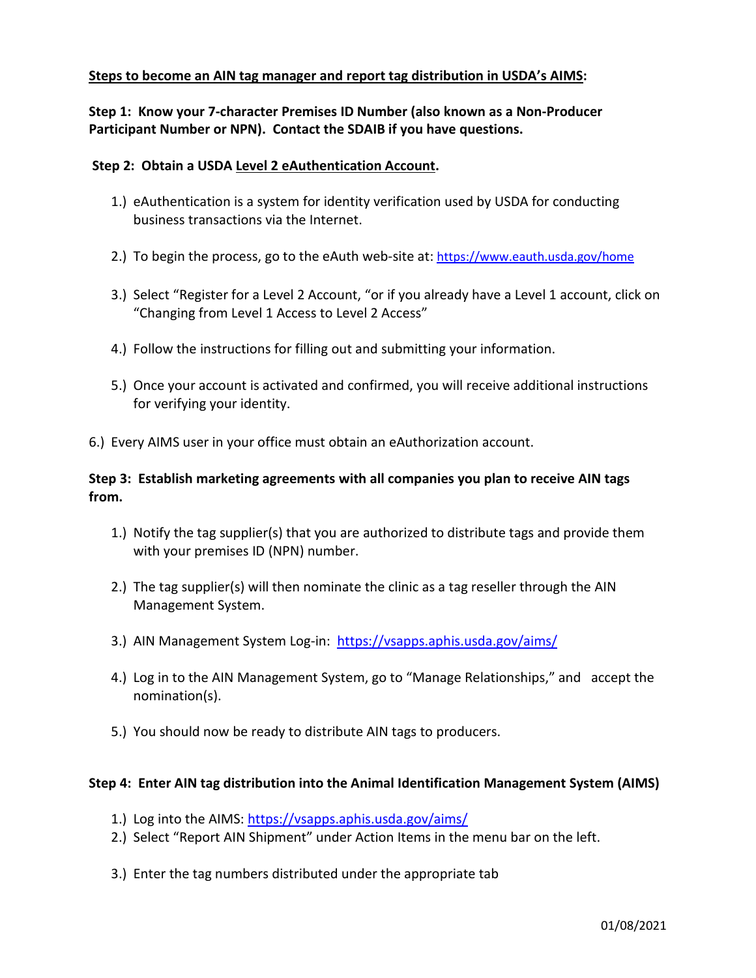## **Steps to become an AIN tag manager and report tag distribution in USDA's AIMS:**

## **Step 1: Know your 7-character Premises ID Number (also known as a Non-Producer Participant Number or NPN). Contact the SDAIB if you have questions.**

### **Step 2: Obtain a USDA Level 2 eAuthentication Account.**

- 1.) eAuthentication is a system for identity verification used by USDA for conducting business transactions via the Internet.
- 2.) To begin the process, go to the eAuth web-site at:<https://www.eauth.usda.gov/home>
- 3.) Select "Register for a Level 2 Account, "or if you already have a Level 1 account, click on "Changing from Level 1 Access to Level 2 Access"
- 4.) Follow the instructions for filling out and submitting your information.
- 5.) Once your account is activated and confirmed, you will receive additional instructions for verifying your identity.
- 6.) Every AIMS user in your office must obtain an eAuthorization account.

## **Step 3: Establish marketing agreements with all companies you plan to receive AIN tags from.**

- 1.) Notify the tag supplier(s) that you are authorized to distribute tags and provide them with your premises ID (NPN) number.
- 2.) The tag supplier(s) will then nominate the clinic as a tag reseller through the AIN Management System.
- 3.) AIN Management System Log-in: <https://vsapps.aphis.usda.gov/aims/>
- 4.) Log in to the AIN Management System, go to "Manage Relationships," and accept the nomination(s).
- 5.) You should now be ready to distribute AIN tags to producers.

#### **Step 4: Enter AIN tag distribution into the Animal Identification Management System (AIMS)**

- 1.) Log into the AIMS:<https://vsapps.aphis.usda.gov/aims/>
- 2.) Select "Report AIN Shipment" under Action Items in the menu bar on the left.
- 3.) Enter the tag numbers distributed under the appropriate tab